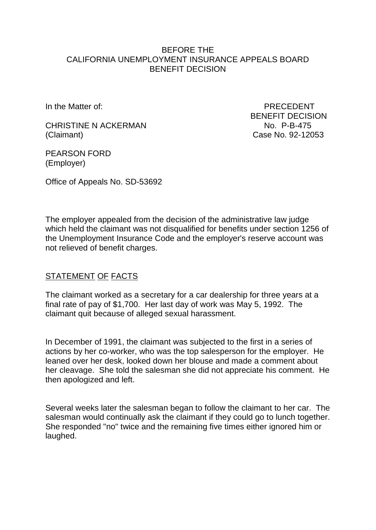#### BEFORE THE CALIFORNIA UNEMPLOYMENT INSURANCE APPEALS BOARD BENEFIT DECISION

CHRISTINE N ACKERMAN NO. P-B-475 (Claimant) Case No. 92-12053

In the Matter of: **PRECEDENT** BENEFIT DECISION

PEARSON FORD (Employer)

Office of Appeals No. SD-53692

The employer appealed from the decision of the administrative law judge which held the claimant was not disqualified for benefits under section 1256 of the Unemployment Insurance Code and the employer's reserve account was not relieved of benefit charges.

## STATEMENT OF FACTS

The claimant worked as a secretary for a car dealership for three years at a final rate of pay of \$1,700. Her last day of work was May 5, 1992. The claimant quit because of alleged sexual harassment.

In December of 1991, the claimant was subjected to the first in a series of actions by her co-worker, who was the top salesperson for the employer. He leaned over her desk, looked down her blouse and made a comment about her cleavage. She told the salesman she did not appreciate his comment. He then apologized and left.

Several weeks later the salesman began to follow the claimant to her car. The salesman would continually ask the claimant if they could go to lunch together. She responded "no" twice and the remaining five times either ignored him or laughed.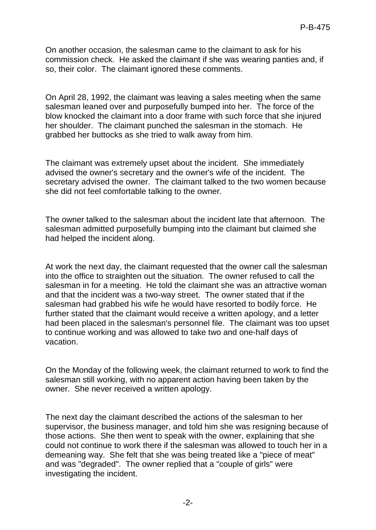On another occasion, the salesman came to the claimant to ask for his commission check. He asked the claimant if she was wearing panties and, if so, their color. The claimant ignored these comments.

On April 28, 1992, the claimant was leaving a sales meeting when the same salesman leaned over and purposefully bumped into her. The force of the blow knocked the claimant into a door frame with such force that she injured her shoulder. The claimant punched the salesman in the stomach. He grabbed her buttocks as she tried to walk away from him.

The claimant was extremely upset about the incident. She immediately advised the owner's secretary and the owner's wife of the incident. The secretary advised the owner. The claimant talked to the two women because she did not feel comfortable talking to the owner.

The owner talked to the salesman about the incident late that afternoon. The salesman admitted purposefully bumping into the claimant but claimed she had helped the incident along.

At work the next day, the claimant requested that the owner call the salesman into the office to straighten out the situation. The owner refused to call the salesman in for a meeting. He told the claimant she was an attractive woman and that the incident was a two-way street. The owner stated that if the salesman had grabbed his wife he would have resorted to bodily force. He further stated that the claimant would receive a written apology, and a letter had been placed in the salesman's personnel file. The claimant was too upset to continue working and was allowed to take two and one-half days of vacation.

On the Monday of the following week, the claimant returned to work to find the salesman still working, with no apparent action having been taken by the owner. She never received a written apology.

The next day the claimant described the actions of the salesman to her supervisor, the business manager, and told him she was resigning because of those actions. She then went to speak with the owner, explaining that she could not continue to work there if the salesman was allowed to touch her in a demeaning way. She felt that she was being treated like a "piece of meat" and was "degraded". The owner replied that a "couple of girls" were investigating the incident.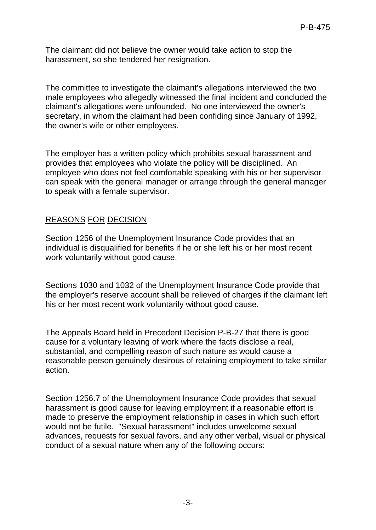The claimant did not believe the owner would take action to stop the harassment, so she tendered her resignation.

The committee to investigate the claimant's allegations interviewed the two male employees who allegedly witnessed the final incident and concluded the claimant's allegations were unfounded. No one interviewed the owner's secretary, in whom the claimant had been confiding since January of 1992, the owner's wife or other employees.

The employer has a written policy which prohibits sexual harassment and provides that employees who violate the policy will be disciplined. An employee who does not feel comfortable speaking with his or her supervisor can speak with the general manager or arrange through the general manager to speak with a female supervisor.

## REASONS FOR DECISION

Section 1256 of the Unemployment Insurance Code provides that an individual is disqualified for benefits if he or she left his or her most recent work voluntarily without good cause.

Sections 1030 and 1032 of the Unemployment Insurance Code provide that the employer's reserve account shall be relieved of charges if the claimant left his or her most recent work voluntarily without good cause.

The Appeals Board held in Precedent Decision P-B-27 that there is good cause for a voluntary leaving of work where the facts disclose a real, substantial, and compelling reason of such nature as would cause a reasonable person genuinely desirous of retaining employment to take similar action.

Section 1256.7 of the Unemployment Insurance Code provides that sexual harassment is good cause for leaving employment if a reasonable effort is made to preserve the employment relationship in cases in which such effort would not be futile. "Sexual harassment" includes unwelcome sexual advances, requests for sexual favors, and any other verbal, visual or physical conduct of a sexual nature when any of the following occurs: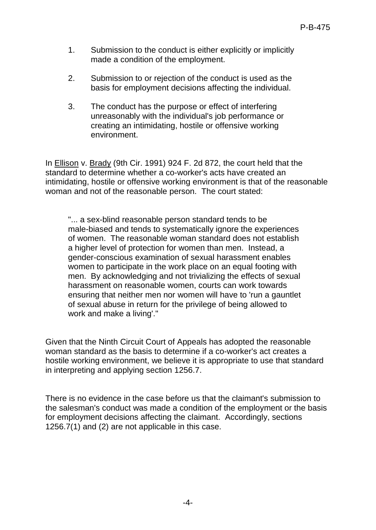- 1. Submission to the conduct is either explicitly or implicitly made a condition of the employment.
- 2. Submission to or rejection of the conduct is used as the basis for employment decisions affecting the individual.
- 3. The conduct has the purpose or effect of interfering unreasonably with the individual's job performance or creating an intimidating, hostile or offensive working environment.

In Ellison v. Brady (9th Cir. 1991) 924 F. 2d 872, the court held that the standard to determine whether a co-worker's acts have created an intimidating, hostile or offensive working environment is that of the reasonable woman and not of the reasonable person. The court stated:

"... a sex-blind reasonable person standard tends to be male-biased and tends to systematically ignore the experiences of women. The reasonable woman standard does not establish a higher level of protection for women than men. Instead, a gender-conscious examination of sexual harassment enables women to participate in the work place on an equal footing with men. By acknowledging and not trivializing the effects of sexual harassment on reasonable women, courts can work towards ensuring that neither men nor women will have to 'run a gauntlet of sexual abuse in return for the privilege of being allowed to work and make a living'."

Given that the Ninth Circuit Court of Appeals has adopted the reasonable woman standard as the basis to determine if a co-worker's act creates a hostile working environment, we believe it is appropriate to use that standard in interpreting and applying section 1256.7.

There is no evidence in the case before us that the claimant's submission to the salesman's conduct was made a condition of the employment or the basis for employment decisions affecting the claimant. Accordingly, sections 1256.7(1) and (2) are not applicable in this case.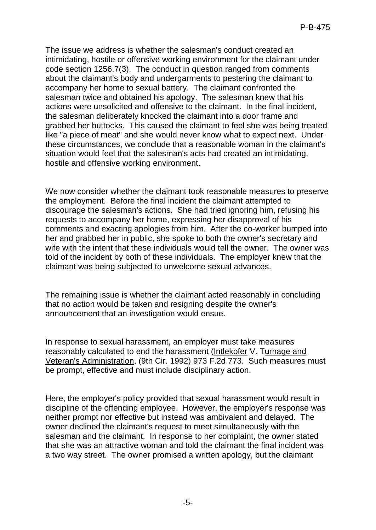The issue we address is whether the salesman's conduct created an intimidating, hostile or offensive working environment for the claimant under code section 1256.7(3). The conduct in question ranged from comments about the claimant's body and undergarments to pestering the claimant to accompany her home to sexual battery. The claimant confronted the salesman twice and obtained his apology. The salesman knew that his actions were unsolicited and offensive to the claimant. In the final incident, the salesman deliberately knocked the claimant into a door frame and grabbed her buttocks. This caused the claimant to feel she was being treated like "a piece of meat" and she would never know what to expect next. Under these circumstances, we conclude that a reasonable woman in the claimant's situation would feel that the salesman's acts had created an intimidating, hostile and offensive working environment.

We now consider whether the claimant took reasonable measures to preserve the employment. Before the final incident the claimant attempted to discourage the salesman's actions. She had tried ignoring him, refusing his requests to accompany her home, expressing her disapproval of his comments and exacting apologies from him. After the co-worker bumped into her and grabbed her in public, she spoke to both the owner's secretary and wife with the intent that these individuals would tell the owner. The owner was told of the incident by both of these individuals. The employer knew that the claimant was being subjected to unwelcome sexual advances.

The remaining issue is whether the claimant acted reasonably in concluding that no action would be taken and resigning despite the owner's announcement that an investigation would ensue.

In response to sexual harassment, an employer must take measures reasonably calculated to end the harassment (Intlekofer V. Turnage and Veteran's Administration, (9th Cir. 1992) 973 F.2d 773. Such measures must be prompt, effective and must include disciplinary action.

Here, the employer's policy provided that sexual harassment would result in discipline of the offending employee. However, the employer's response was neither prompt nor effective but instead was ambivalent and delayed. The owner declined the claimant's request to meet simultaneously with the salesman and the claimant. In response to her complaint, the owner stated that she was an attractive woman and told the claimant the final incident was a two way street. The owner promised a written apology, but the claimant